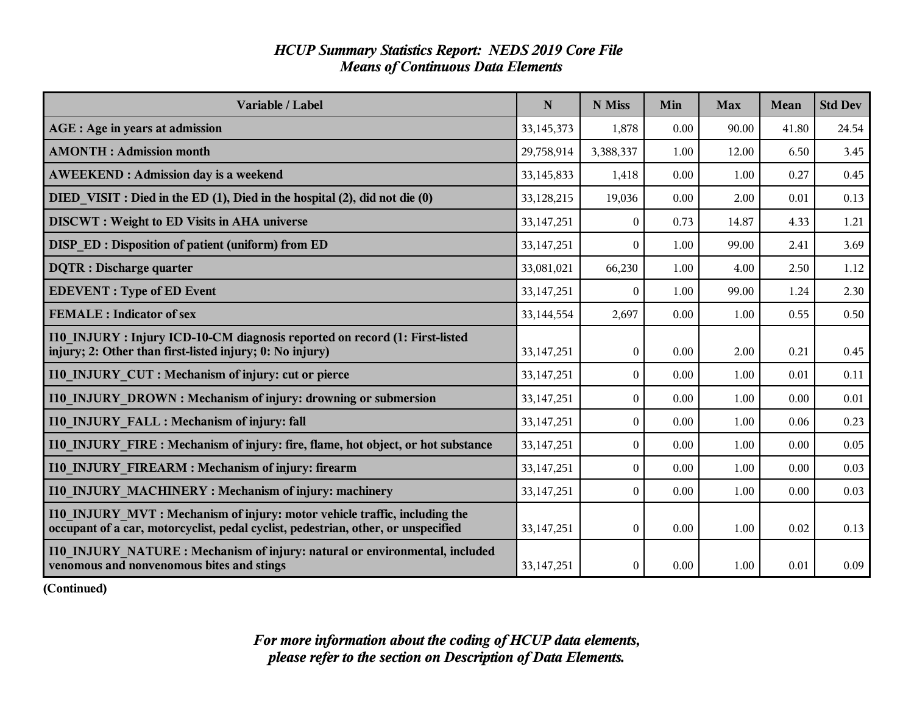| <b>HCUP Summary Statistics Report: NEDS 2019 Core File</b> |  |
|------------------------------------------------------------|--|
| <b>Means of Continuous Data Elements</b>                   |  |

| Variable / Label                                                                                                                                               | $\mathbf N$  | N Miss           | Min  | <b>Max</b> | <b>Mean</b> | <b>Std Dev</b> |
|----------------------------------------------------------------------------------------------------------------------------------------------------------------|--------------|------------------|------|------------|-------------|----------------|
| AGE : Age in years at admission                                                                                                                                | 33, 145, 373 | 1,878            | 0.00 | 90.00      | 41.80       | 24.54          |
| <b>AMONTH: Admission month</b>                                                                                                                                 | 29,758,914   | 3,388,337        | 1.00 | 12.00      | 6.50        | 3.45           |
| <b>AWEEKEND: Admission day is a weekend</b>                                                                                                                    | 33, 145, 833 | 1,418            | 0.00 | 1.00       | 0.27        | 0.45           |
| DIED VISIT : Died in the ED (1), Died in the hospital (2), did not die (0)                                                                                     | 33,128,215   | 19,036           | 0.00 | 2.00       | 0.01        | 0.13           |
| <b>DISCWT</b> : Weight to ED Visits in AHA universe                                                                                                            | 33, 147, 251 | $\theta$         | 0.73 | 14.87      | 4.33        | 1.21           |
| DISP ED: Disposition of patient (uniform) from ED                                                                                                              | 33, 147, 251 | $\theta$         | 1.00 | 99.00      | 2.41        | 3.69           |
| <b>DQTR</b> : Discharge quarter                                                                                                                                | 33,081,021   | 66,230           | 1.00 | 4.00       | 2.50        | 1.12           |
| <b>EDEVENT</b> : Type of ED Event                                                                                                                              | 33, 147, 251 | $\theta$         | 1.00 | 99.00      | 1.24        | 2.30           |
| <b>FEMALE: Indicator of sex</b>                                                                                                                                | 33,144,554   | 2,697            | 0.00 | 1.00       | 0.55        | 0.50           |
| I10 INJURY: Injury ICD-10-CM diagnosis reported on record (1: First-listed<br>injury; 2: Other than first-listed injury; 0: No injury)                         | 33, 147, 251 | $\theta$         | 0.00 | 2.00       | 0.21        | 0.45           |
| I10 INJURY CUT : Mechanism of injury: cut or pierce                                                                                                            | 33, 147, 251 | $\boldsymbol{0}$ | 0.00 | 1.00       | 0.01        | 0.11           |
| I10 INJURY DROWN : Mechanism of injury: drowning or submersion                                                                                                 | 33, 147, 251 | $\mathbf{0}$     | 0.00 | 1.00       | 0.00        | 0.01           |
| 110 INJURY FALL : Mechanism of injury: fall                                                                                                                    | 33, 147, 251 | $\boldsymbol{0}$ | 0.00 | 1.00       | 0.06        | 0.23           |
| 110 INJURY FIRE : Mechanism of injury: fire, flame, hot object, or hot substance                                                                               | 33, 147, 251 | $\theta$         | 0.00 | 1.00       | 0.00        | 0.05           |
| 110 INJURY FIREARM : Mechanism of injury: firearm                                                                                                              | 33, 147, 251 | $\theta$         | 0.00 | 1.00       | 0.00        | 0.03           |
| <b>I10 INJURY MACHINERY: Mechanism of injury: machinery</b>                                                                                                    | 33, 147, 251 | $\theta$         | 0.00 | 1.00       | 0.00        | 0.03           |
| 110 INJURY MVT: Mechanism of injury: motor vehicle traffic, including the<br>occupant of a car, motorcyclist, pedal cyclist, pedestrian, other, or unspecified | 33, 147, 251 | $\boldsymbol{0}$ | 0.00 | 1.00       | 0.02        | 0.13           |
| 110 INJURY NATURE: Mechanism of injury: natural or environmental, included<br>venomous and nonvenomous bites and stings                                        | 33, 147, 251 | $\theta$         | 0.00 | 1.00       | 0.01        | 0.09           |

**(Continued)**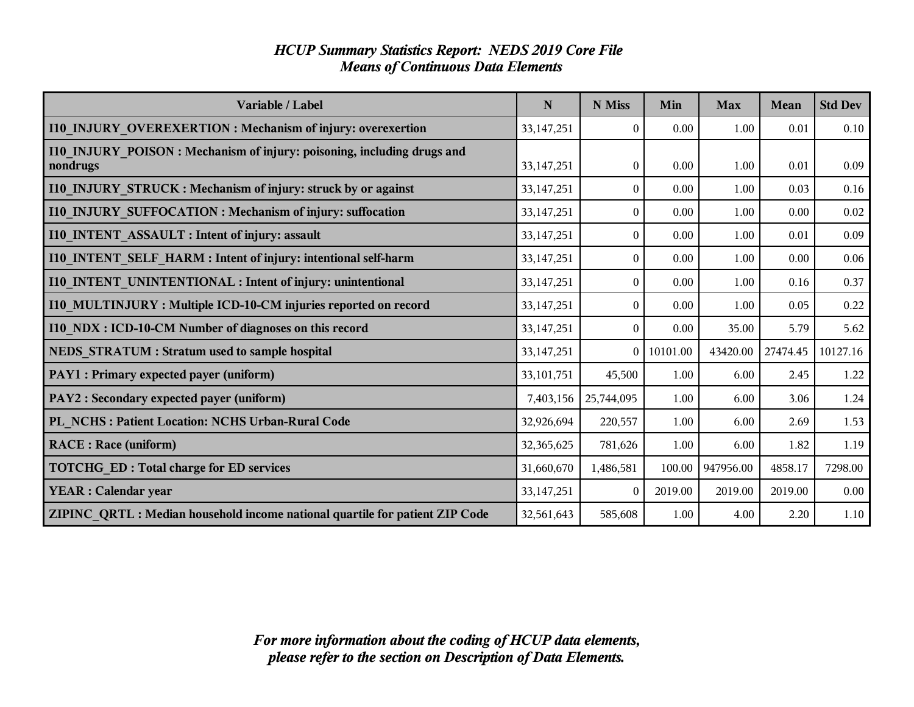#### *HCUP Summary Statistics Report: NEDS 2019 Core File Means of Continuous Data Elements*

| Variable / Label                                                                   | $\mathbf N$  | N Miss           | Min      | <b>Max</b> | <b>Mean</b> | <b>Std Dev</b> |
|------------------------------------------------------------------------------------|--------------|------------------|----------|------------|-------------|----------------|
| I10_INJURY_OVEREXERTION: Mechanism of injury: overexertion                         | 33, 147, 251 | $\theta$         | 0.00     | 1.00       | 0.01        | 0.10           |
| I10_INJURY_POISON: Mechanism of injury: poisoning, including drugs and<br>nondrugs | 33, 147, 251 | $\boldsymbol{0}$ | 0.00     | 1.00       | 0.01        | 0.09           |
| I10_INJURY_STRUCK: Mechanism of injury: struck by or against                       | 33, 147, 251 | $\theta$         | 0.00     | 1.00       | 0.03        | 0.16           |
| I10_INJURY_SUFFOCATION: Mechanism of injury: suffocation                           | 33, 147, 251 | $\theta$         | 0.00     | 1.00       | 0.00        | 0.02           |
| I10 INTENT ASSAULT : Intent of injury: assault                                     | 33, 147, 251 | $\theta$         | 0.00     | 1.00       | 0.01        | 0.09           |
| I10 INTENT SELF HARM : Intent of injury: intentional self-harm                     | 33, 147, 251 | $\Omega$         | 0.00     | 1.00       | 0.00        | 0.06           |
| I10_INTENT_UNINTENTIONAL: Intent of injury: unintentional                          | 33, 147, 251 | $\Omega$         | 0.00     | 1.00       | 0.16        | 0.37           |
| I10 MULTINJURY: Multiple ICD-10-CM injuries reported on record                     | 33, 147, 251 | $\mathbf{0}$     | 0.00     | 1.00       | 0.05        | 0.22           |
| I10 NDX : ICD-10-CM Number of diagnoses on this record                             | 33, 147, 251 | $\Omega$         | 0.00     | 35.00      | 5.79        | 5.62           |
| NEDS_STRATUM : Stratum used to sample hospital                                     | 33, 147, 251 | $\Omega$         | 10101.00 | 43420.00   | 27474.45    | 10127.16       |
| PAY1 : Primary expected payer (uniform)                                            | 33, 101, 751 | 45,500           | 1.00     | 6.00       | 2.45        | 1.22           |
| PAY2 : Secondary expected payer (uniform)                                          | 7,403,156    | 25,744,095       | 1.00     | 6.00       | 3.06        | 1.24           |
| PL_NCHS: Patient Location: NCHS Urban-Rural Code                                   | 32,926,694   | 220,557          | 1.00     | 6.00       | 2.69        | 1.53           |
| <b>RACE</b> : Race (uniform)                                                       | 32,365,625   | 781,626          | 1.00     | 6.00       | 1.82        | 1.19           |
| <b>TOTCHG ED: Total charge for ED services</b>                                     | 31,660,670   | 1,486,581        | 100.00   | 947956.00  | 4858.17     | 7298.00        |
| <b>YEAR</b> : Calendar year                                                        | 33, 147, 251 | $\theta$         | 2019.00  | 2019.00    | 2019.00     | 0.00           |
| ZIPINC QRTL: Median household income national quartile for patient ZIP Code        | 32,561,643   | 585,608          | 1.00     | 4.00       | 2.20        | 1.10           |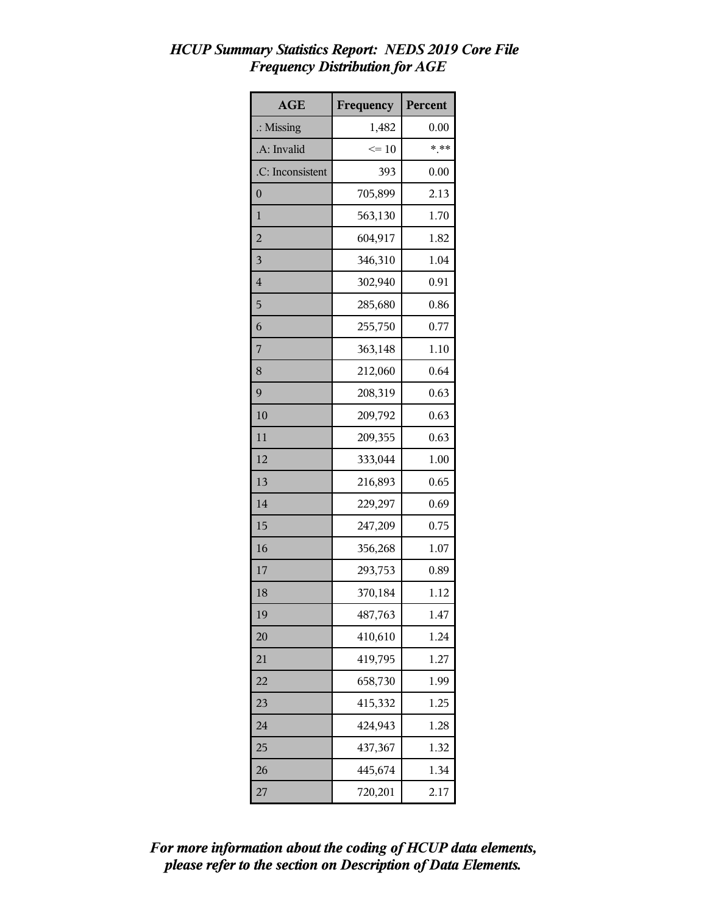| <b>AGE</b>           | Frequency | Percent |
|----------------------|-----------|---------|
| $\therefore$ Missing | 1,482     | 0.00    |
| .A: Invalid          | $\leq 10$ | $***$   |
| .C: Inconsistent     | 393       | 0.00    |
| $\boldsymbol{0}$     | 705,899   | 2.13    |
| 1                    | 563,130   | 1.70    |
| $\overline{2}$       | 604,917   | 1.82    |
| 3                    | 346,310   | 1.04    |
| $\overline{4}$       | 302,940   | 0.91    |
| 5                    | 285,680   | 0.86    |
| 6                    | 255,750   | 0.77    |
| 7                    | 363,148   | 1.10    |
| 8                    | 212,060   | 0.64    |
| 9                    | 208,319   | 0.63    |
| 10                   | 209,792   | 0.63    |
| 11                   | 209,355   | 0.63    |
| 12                   | 333,044   | 1.00    |
| 13                   | 216,893   | 0.65    |
| 14                   | 229,297   | 0.69    |
| 15                   | 247,209   | 0.75    |
| 16                   | 356,268   | 1.07    |
| 17                   | 293,753   | 0.89    |
| 18                   | 370,184   | 1.12    |
| 19                   | 487,763   | 1.47    |
| 20                   | 410,610   | 1.24    |
| 21                   | 419,795   | 1.27    |
| 22                   | 658,730   | 1.99    |
| 23                   | 415,332   | 1.25    |
| 24                   | 424,943   | 1.28    |
| 25                   | 437,367   | 1.32    |
| 26                   | 445,674   | 1.34    |
| 27                   | 720,201   | 2.17    |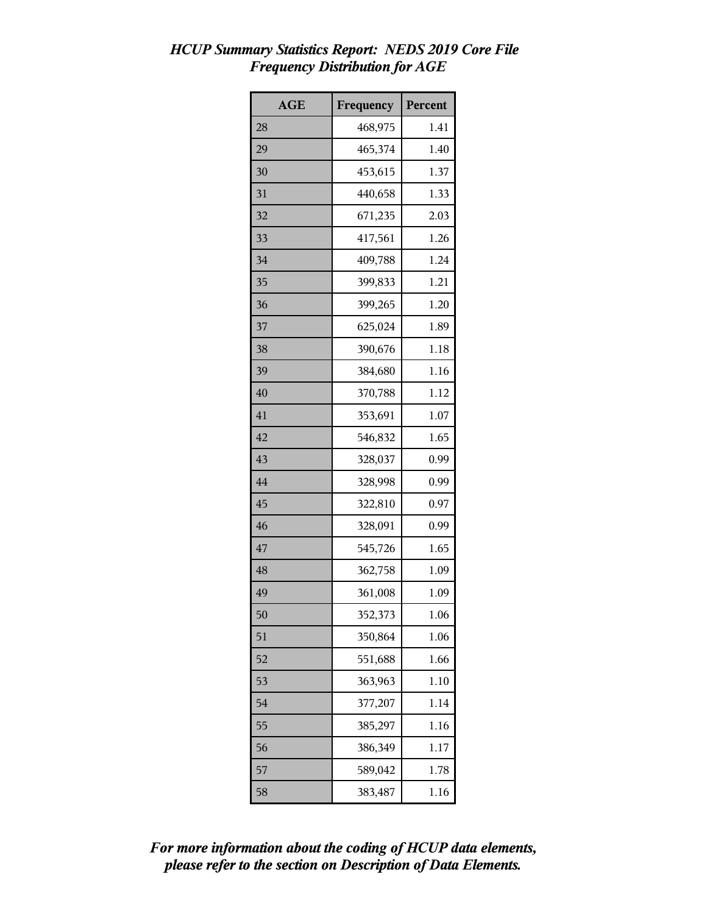| <b>AGE</b> | Frequency | <b>Percent</b> |
|------------|-----------|----------------|
| 28         | 468,975   | 1.41           |
| 29         | 465,374   | 1.40           |
| 30         | 453,615   | 1.37           |
| 31         | 440,658   | 1.33           |
| 32         | 671,235   | 2.03           |
| 33         | 417,561   | 1.26           |
| 34         | 409,788   | 1.24           |
| 35         | 399,833   | 1.21           |
| 36         | 399,265   | 1.20           |
| 37         | 625,024   | 1.89           |
| 38         | 390,676   | 1.18           |
| 39         | 384,680   | 1.16           |
| 40         | 370,788   | 1.12           |
| 41         | 353,691   | 1.07           |
| 42         | 546,832   | 1.65           |
| 43         | 328,037   | 0.99           |
| 44         | 328,998   | 0.99           |
| 45         | 322,810   | 0.97           |
| 46         | 328,091   | 0.99           |
| 47         | 545,726   | 1.65           |
| 48         | 362,758   | 1.09           |
| 49         | 361,008   | 1.09           |
| 50         | 352,373   | 1.06           |
| 51         | 350,864   | 1.06           |
| 52         | 551,688   | 1.66           |
| 53         | 363,963   | 1.10           |
| 54         | 377,207   | 1.14           |
| 55         | 385,297   | 1.16           |
| 56         | 386,349   | 1.17           |
| 57         | 589,042   | 1.78           |
| 58         | 383,487   | 1.16           |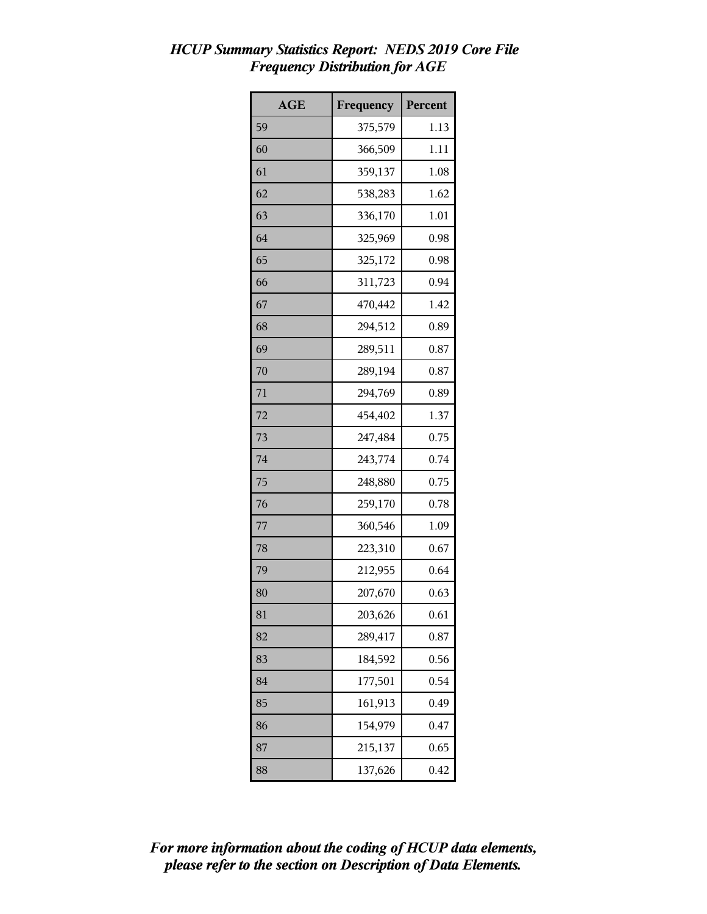| <b>AGE</b> | Frequency | Percent |
|------------|-----------|---------|
| 59         | 375,579   | 1.13    |
| 60         | 366,509   | 1.11    |
| 61         | 359,137   | 1.08    |
| 62         | 538,283   | 1.62    |
| 63         | 336,170   | 1.01    |
| 64         | 325,969   | 0.98    |
| 65         | 325,172   | 0.98    |
| 66         | 311,723   | 0.94    |
| 67         | 470,442   | 1.42    |
| 68         | 294,512   | 0.89    |
| 69         | 289,511   | 0.87    |
| 70         | 289,194   | 0.87    |
| 71         | 294,769   | 0.89    |
| 72         | 454,402   | 1.37    |
| 73         | 247,484   | 0.75    |
| 74         | 243,774   | 0.74    |
| 75         | 248,880   | 0.75    |
| 76         | 259,170   | 0.78    |
| 77         | 360,546   | 1.09    |
| 78         | 223,310   | 0.67    |
| 79         | 212,955   | 0.64    |
| 80         | 207,670   | 0.63    |
| 81         | 203,626   | 0.61    |
| 82         | 289,417   | 0.87    |
| 83         | 184,592   | 0.56    |
| 84         | 177,501   | 0.54    |
| 85         | 161,913   | 0.49    |
| 86         | 154,979   | 0.47    |
| 87         | 215,137   | 0.65    |
| 88         | 137,626   | 0.42    |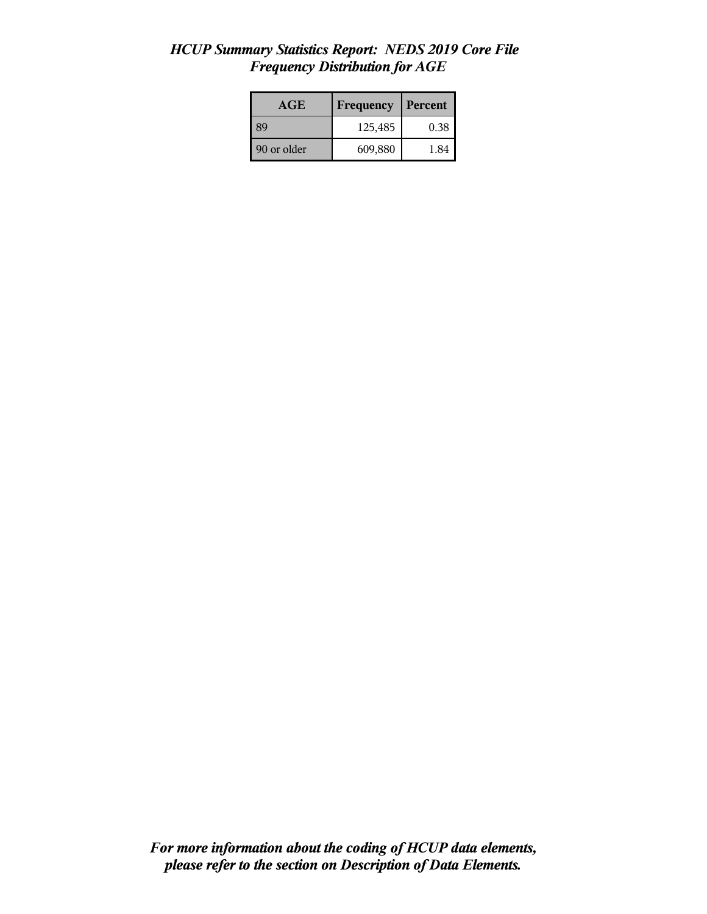| AGE         | Frequency | Percent |
|-------------|-----------|---------|
| <b>89</b>   | 125,485   | 0.38    |
| 90 or older | 609,880   | 1.84    |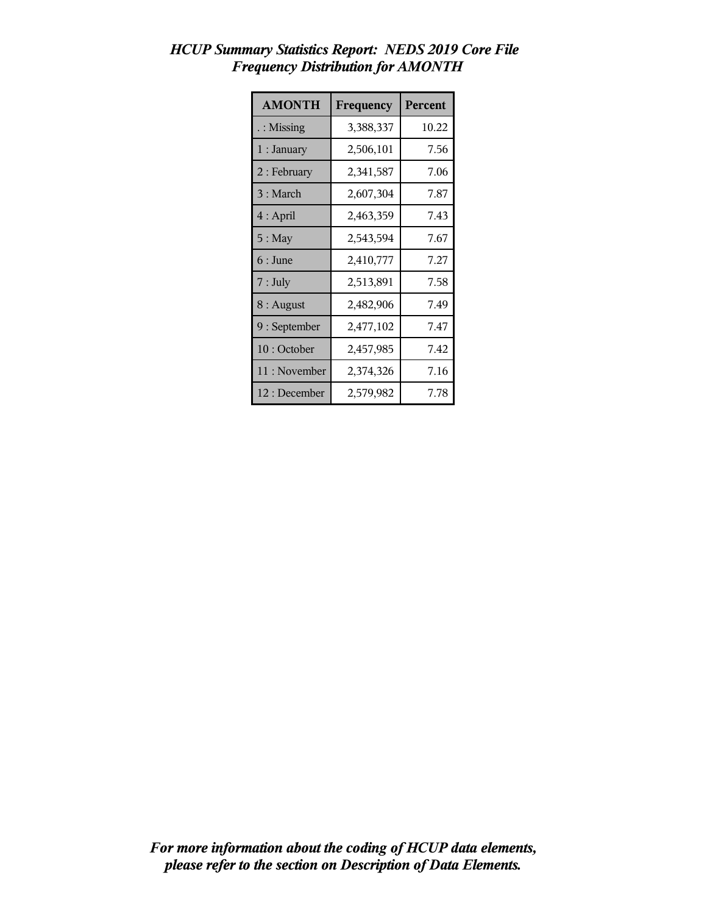| <b>AMONTH</b>        | Frequency | Percent |
|----------------------|-----------|---------|
| $\therefore$ Missing | 3,388,337 | 10.22   |
| $1:$ January         | 2,506,101 | 7.56    |
| 2 : February         | 2,341,587 | 7.06    |
| 3 : March            | 2,607,304 | 7.87    |
| $4:$ April           | 2,463,359 | 7.43    |
| $5:$ May             | 2,543,594 | 7.67    |
| $6:$ June            | 2,410,777 | 7.27    |
| $7:$ July            | 2,513,891 | 7.58    |
| $8:$ August          | 2,482,906 | 7.49    |
| 9 : September        | 2,477,102 | 7.47    |
| 10: October          | 2,457,985 | 7.42    |
| 11 : November        | 2,374,326 | 7.16    |
| 12 : December        | 2,579,982 | 7.78    |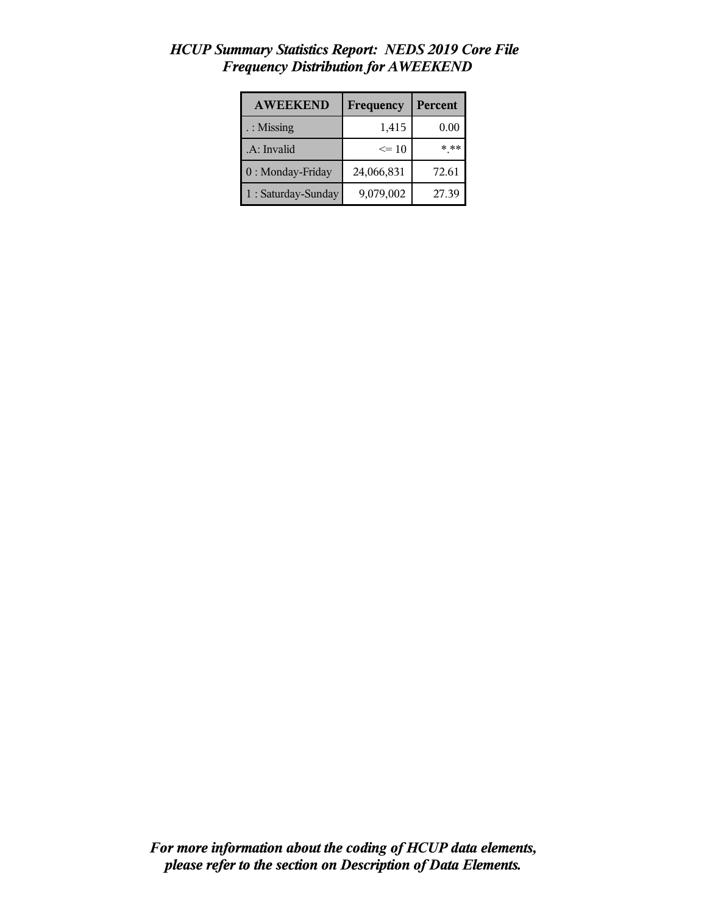| <b>AWEEKEND</b>     | Frequency  | <b>Percent</b> |
|---------------------|------------|----------------|
| : Missing           | 1,415      | 0.00           |
| .A: Invalid         | $\leq$ 10  | $* * *$        |
| 0 : Monday-Friday   | 24,066,831 | 72.61          |
| 1 : Saturday-Sunday | 9,079,002  | 27.39          |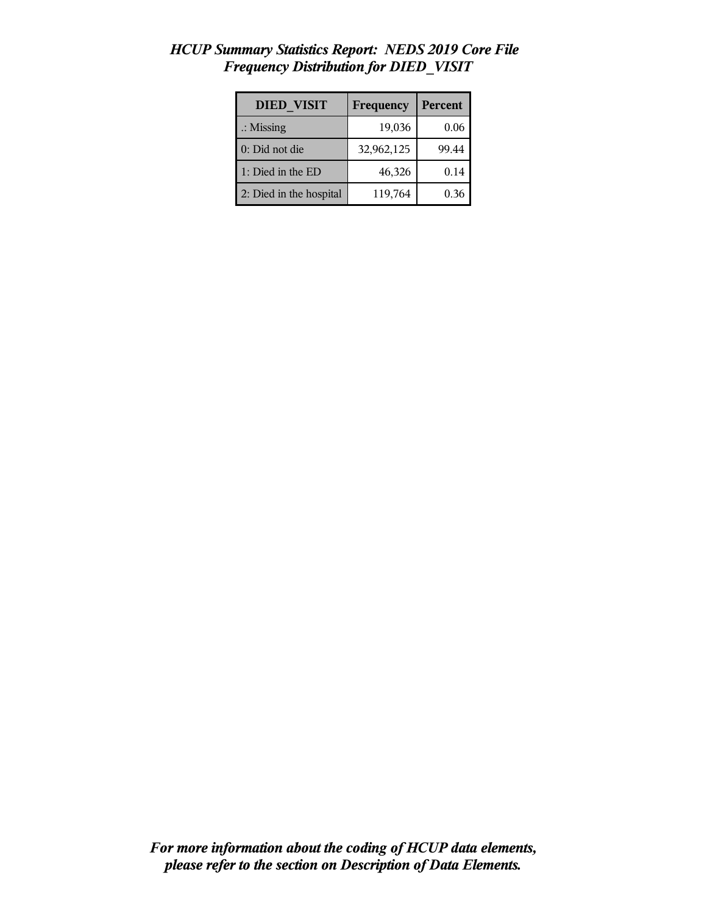| <b>DIED VISIT</b>       | Frequency  | Percent |
|-------------------------|------------|---------|
| $\therefore$ Missing    | 19,036     | 0.06    |
| 0: Did not die          | 32,962,125 | 99.44   |
| 1: Died in the ED       | 46,326     | 0.14    |
| 2: Died in the hospital | 119,764    | 0.36    |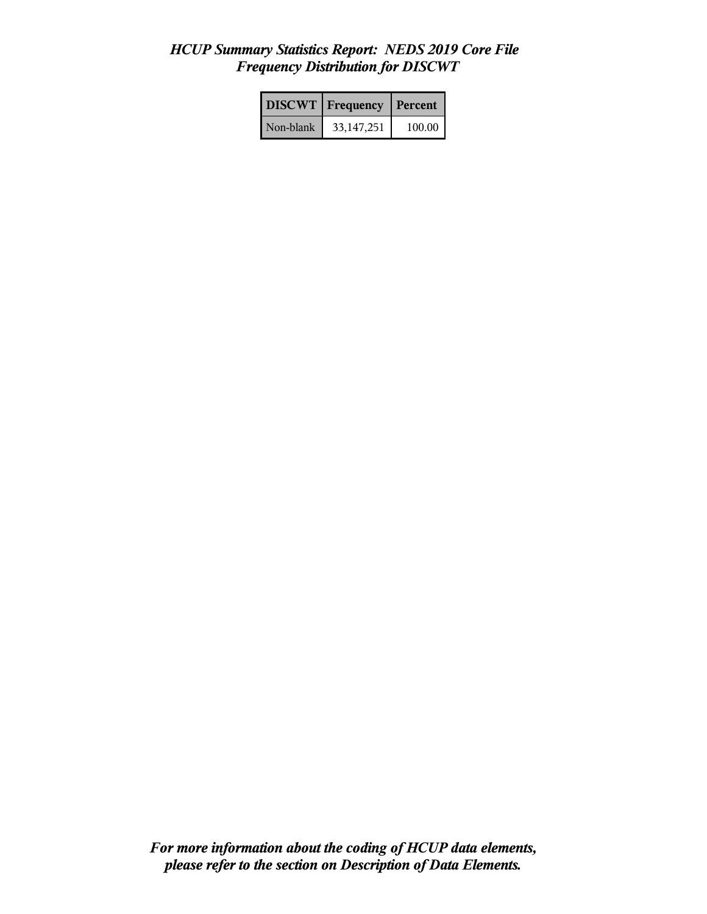|           | <b>DISCWT</b>   Frequency | <b>Percent</b> |
|-----------|---------------------------|----------------|
| Non-blank | 33, 147, 251              | 100.00         |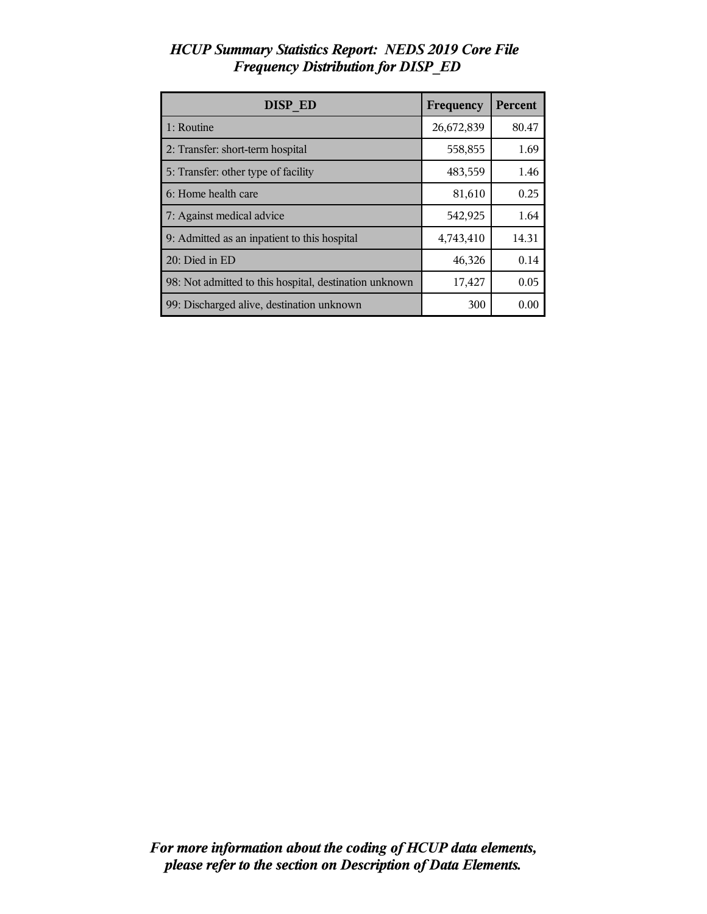| <b>DISP ED</b>                                         | Frequency  | Percent |
|--------------------------------------------------------|------------|---------|
| 1: Routine                                             | 26,672,839 | 80.47   |
| 2: Transfer: short-term hospital                       | 558,855    | 1.69    |
| 5: Transfer: other type of facility                    | 483,559    | 1.46    |
| 6: Home health care                                    | 81,610     | 0.25    |
| 7: Against medical advice                              | 542,925    | 1.64    |
| 9: Admitted as an inpatient to this hospital           | 4,743,410  | 14.31   |
| 20: Died in ED                                         | 46,326     | 0.14    |
| 98: Not admitted to this hospital, destination unknown | 17,427     | 0.05    |
| 99: Discharged alive, destination unknown              | 300        | 0.00    |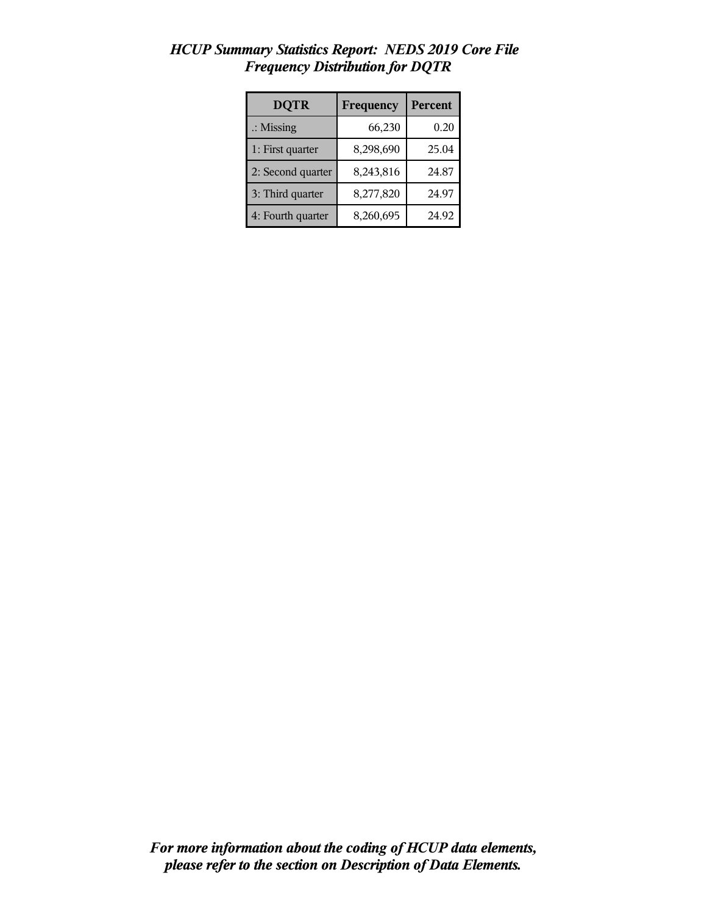| <b>DQTR</b>          | Frequency | Percent |
|----------------------|-----------|---------|
| $\therefore$ Missing | 66,230    | 0.20    |
| 1: First quarter     | 8,298,690 | 25.04   |
| 2: Second quarter    | 8,243,816 | 24.87   |
| 3: Third quarter     | 8,277,820 | 24.97   |
| 4: Fourth quarter    | 8,260,695 | 24.92   |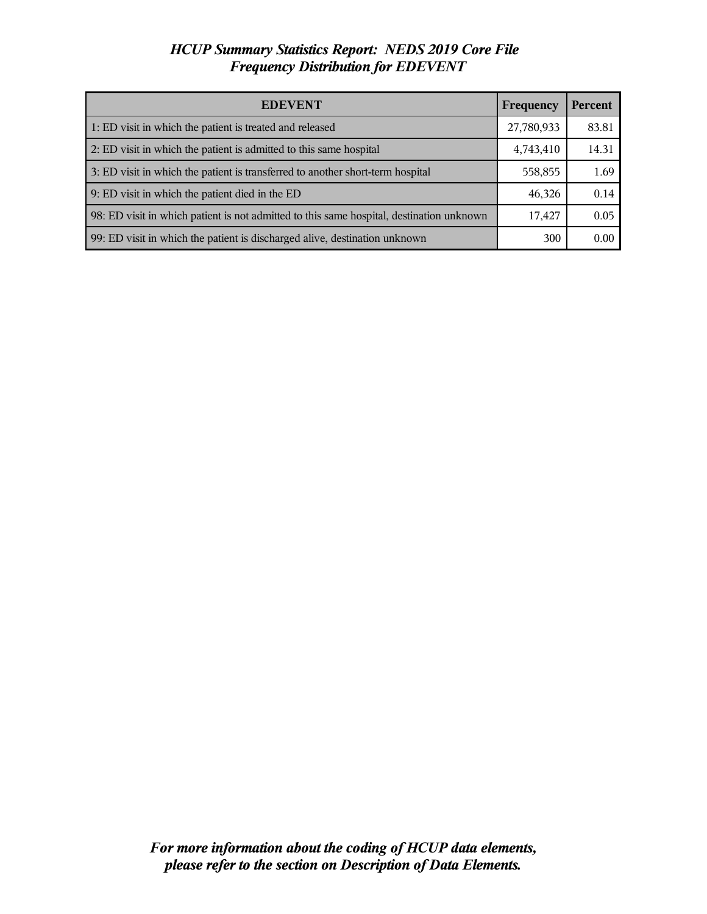| <b>EDEVENT</b>                                                                           | Frequency  | <b>Percent</b> |
|------------------------------------------------------------------------------------------|------------|----------------|
| 1: ED visit in which the patient is treated and released                                 | 27,780,933 | 83.81          |
| 2: ED visit in which the patient is admitted to this same hospital                       | 4,743,410  | 14.31          |
| 3: ED visit in which the patient is transferred to another short-term hospital           | 558,855    | 1.69           |
| 9: ED visit in which the patient died in the ED                                          | 46,326     | 0.14           |
| 98: ED visit in which patient is not admitted to this same hospital, destination unknown | 17,427     | 0.05           |
| 99: ED visit in which the patient is discharged alive, destination unknown               | 300        | 0.00           |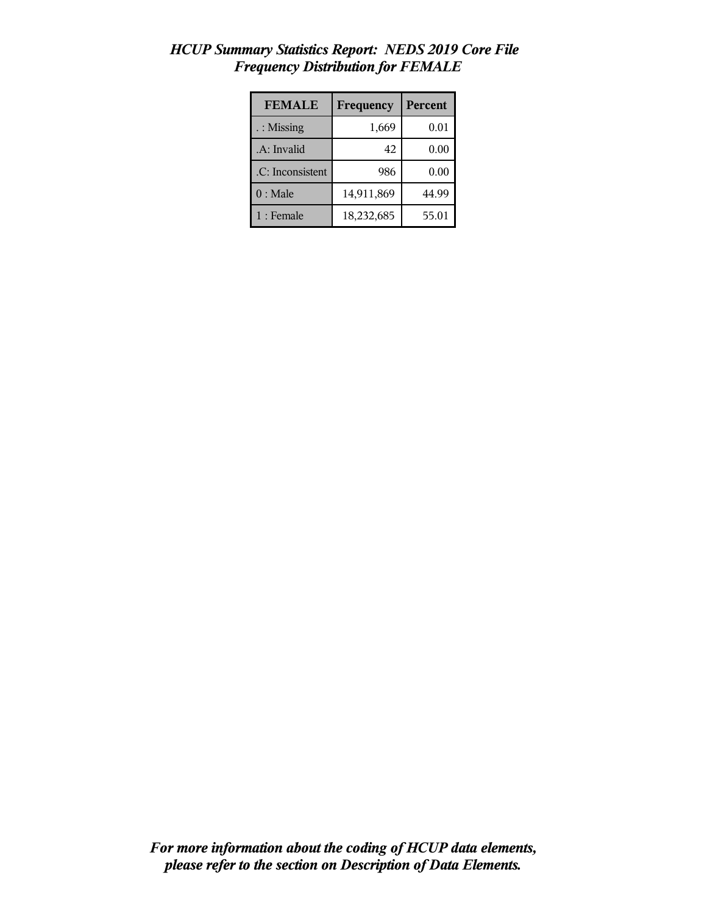| <b>FEMALE</b>    | Frequency  | Percent |
|------------------|------------|---------|
| : Missing        | 1,669      | 0.01    |
| .A: Invalid      | 42         | 0.00    |
| .C: Inconsistent | 986        | 0.00    |
| $0:$ Male        | 14,911,869 | 44.99   |
| $1:$ Female      | 18,232,685 | 55.01   |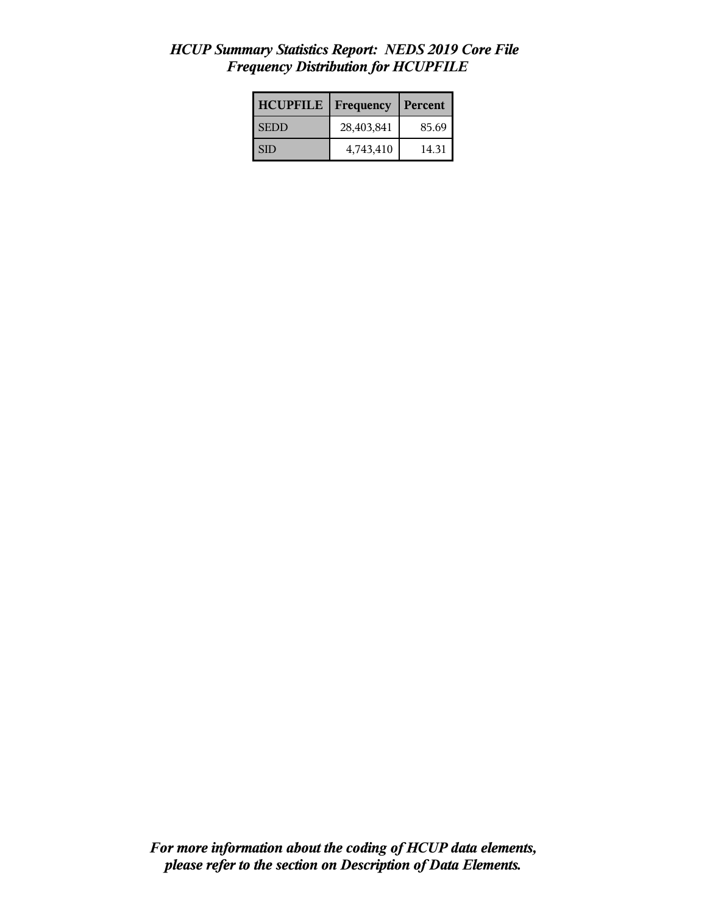| <b>HCUPFILE</b> | <b>Frequency</b> | Percent |
|-----------------|------------------|---------|
| <b>SEDD</b>     | 28,403,841       | 85.69   |
| I SID           | 4,743,410        | 14.31   |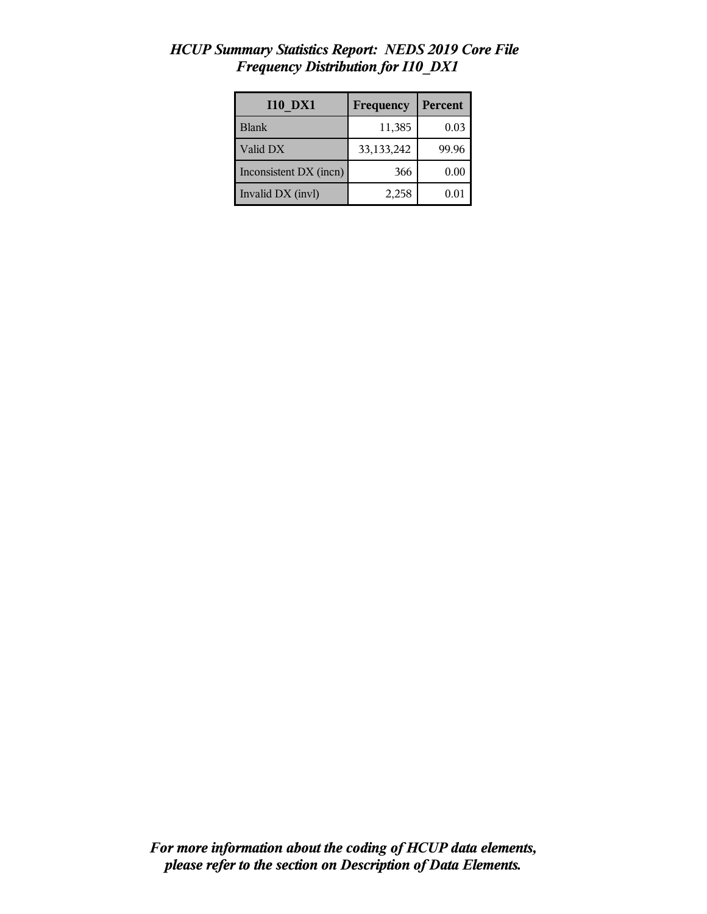| <b>I10 DX1</b>         | Frequency  | Percent |
|------------------------|------------|---------|
| <b>Blank</b>           | 11,385     | 0.03    |
| Valid DX               | 33,133,242 | 99.96   |
| Inconsistent DX (incn) | 366        | 0.00    |
| Invalid DX (invl)      | 2,258      | 0.01    |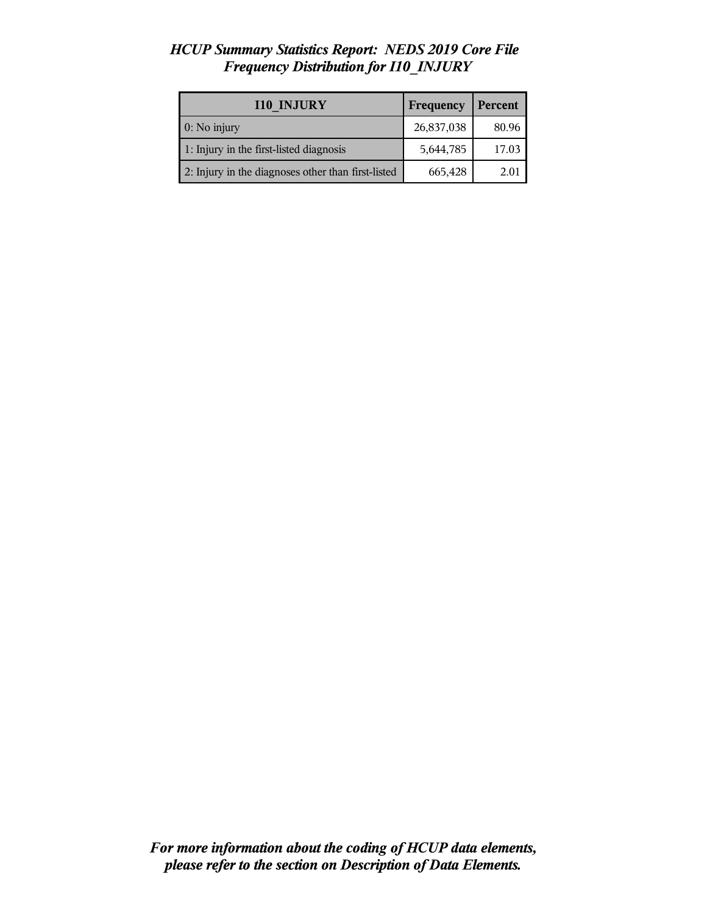| <b>I10 INJURY</b>                                  | Frequency  | Percent |
|----------------------------------------------------|------------|---------|
| $0:$ No injury                                     | 26,837,038 | 80.96   |
| 1: Injury in the first-listed diagnosis            | 5,644,785  | 17.03   |
| 2: Injury in the diagnoses other than first-listed | 665,428    | 2.01    |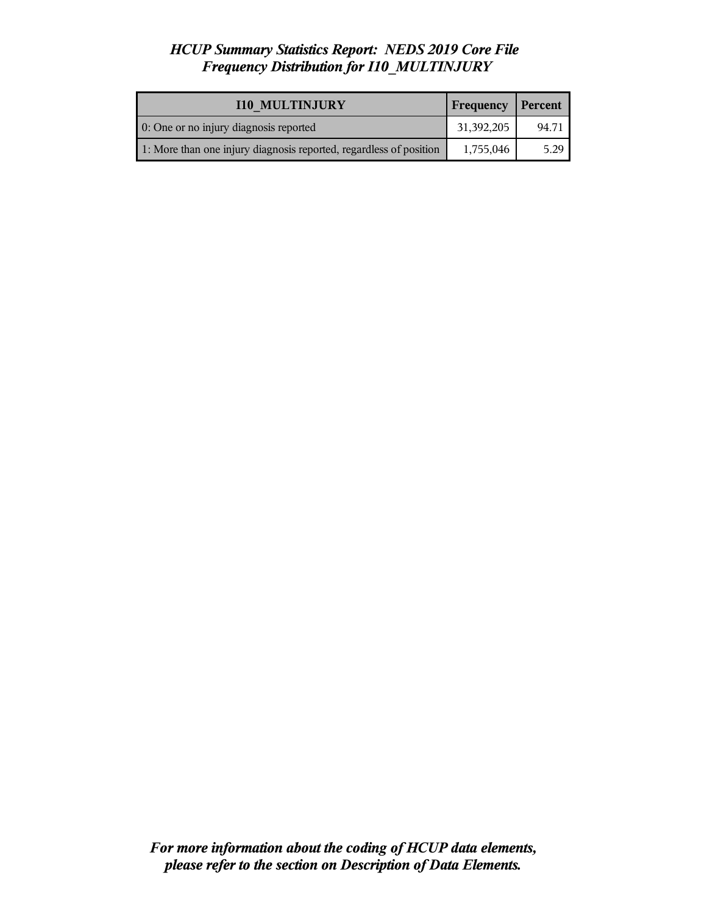| <b>I10 MULTINJURY</b>                                              | <b>Frequency</b> | Percent |
|--------------------------------------------------------------------|------------------|---------|
| 0: One or no injury diagnosis reported                             | 31,392,205       | 94.71   |
| 1: More than one injury diagnosis reported, regardless of position | 1,755,046        | 5.29    |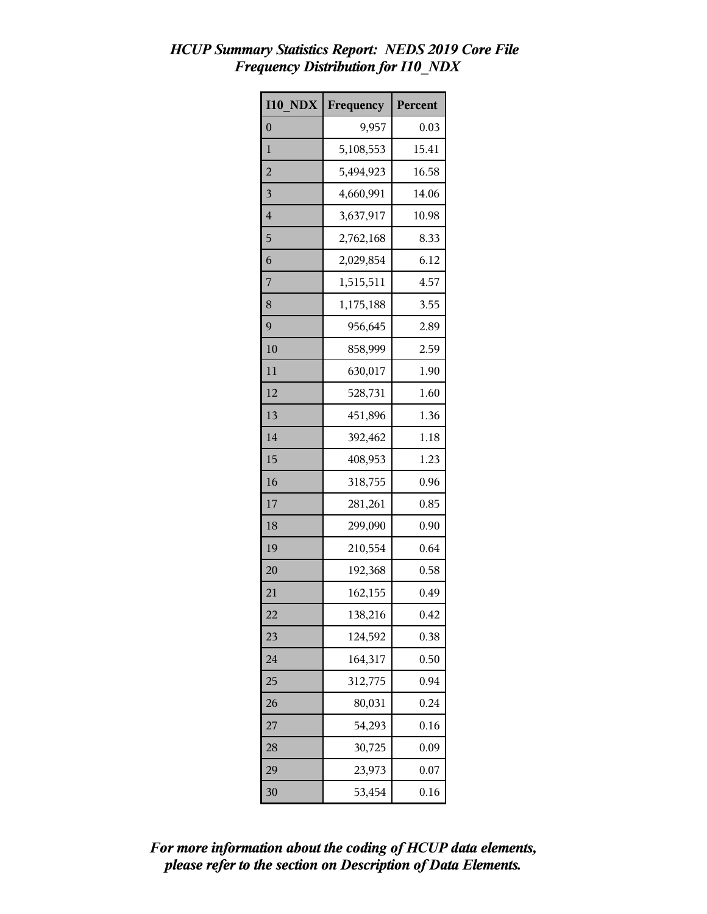| <b>I10 NDX</b> | Frequency | Percent |
|----------------|-----------|---------|
| $\overline{0}$ | 9,957     | 0.03    |
| 1              | 5,108,553 | 15.41   |
| $\overline{c}$ | 5,494,923 | 16.58   |
| 3              | 4,660,991 | 14.06   |
| 4              | 3,637,917 | 10.98   |
| 5              | 2,762,168 | 8.33    |
| 6              | 2,029,854 | 6.12    |
| 7              | 1,515,511 | 4.57    |
| 8              | 1,175,188 | 3.55    |
| 9              | 956,645   | 2.89    |
| 10             | 858,999   | 2.59    |
| 11             | 630,017   | 1.90    |
| 12             | 528,731   | 1.60    |
| 13             | 451,896   | 1.36    |
| 14             | 392,462   | 1.18    |
| 15             | 408,953   | 1.23    |
| 16             | 318,755   | 0.96    |
| 17             | 281,261   | 0.85    |
| 18             | 299,090   | 0.90    |
| 19             | 210,554   | 0.64    |
| 20             | 192,368   | 0.58    |
| 21             | 162,155   | 0.49    |
| 22             | 138,216   | 0.42    |
| 23             | 124,592   | 0.38    |
| 24             | 164,317   | 0.50    |
| 25             | 312,775   | 0.94    |
| 26             | 80,031    | 0.24    |
| 27             | 54,293    | 0.16    |
| 28             | 30,725    | 0.09    |
| 29             | 23,973    | 0.07    |
| 30             | 53,454    | 0.16    |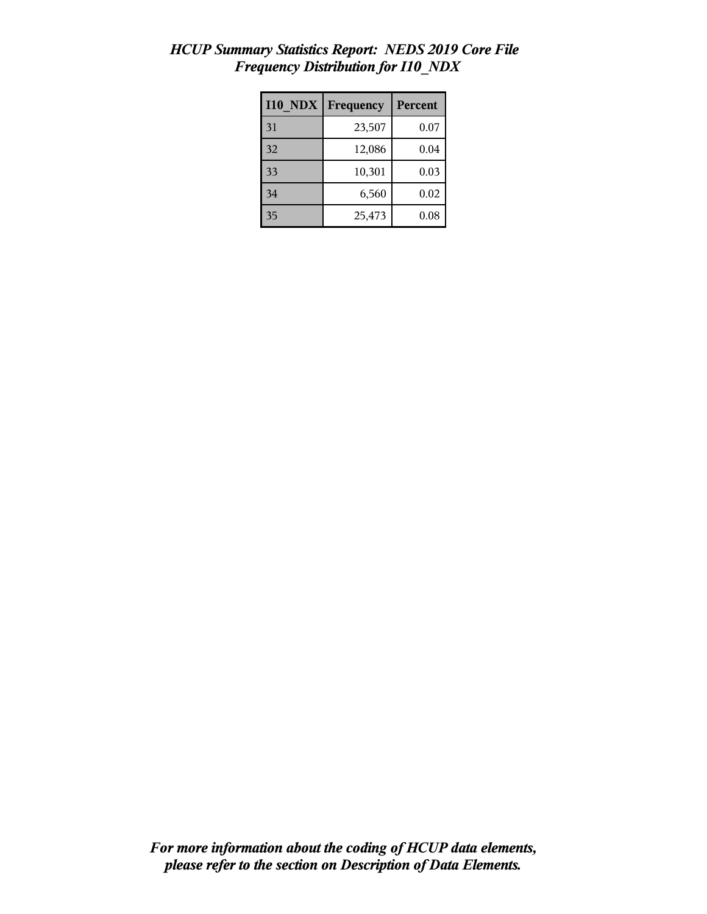| <b>I10 NDX</b> | Frequency | Percent |
|----------------|-----------|---------|
| 31             | 23,507    | 0.07    |
| 32             | 12,086    | 0.04    |
| 33             | 10,301    | 0.03    |
| 34             | 6,560     | 0.02    |
| 35             | 25,473    | 0.08    |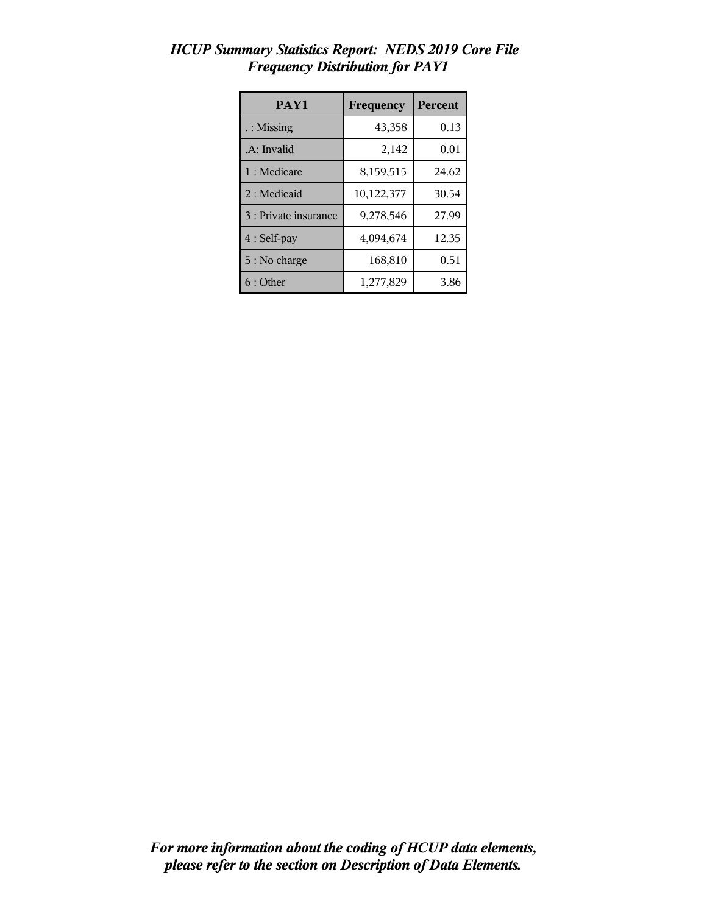| PAY1                  | Frequency  | Percent |
|-----------------------|------------|---------|
| : Missing             | 43,358     | 0.13    |
| .A: Invalid           | 2,142      | 0.01    |
| 1 : Medicare          | 8,159,515  | 24.62   |
| 2 : Medicaid          | 10,122,377 | 30.54   |
| 3 : Private insurance | 9,278,546  | 27.99   |
| $4:Self$ -pay         | 4,094,674  | 12.35   |
| 5 : No charge         | 168,810    | 0.51    |
| $6:$ Other            | 1,277,829  | 3.86    |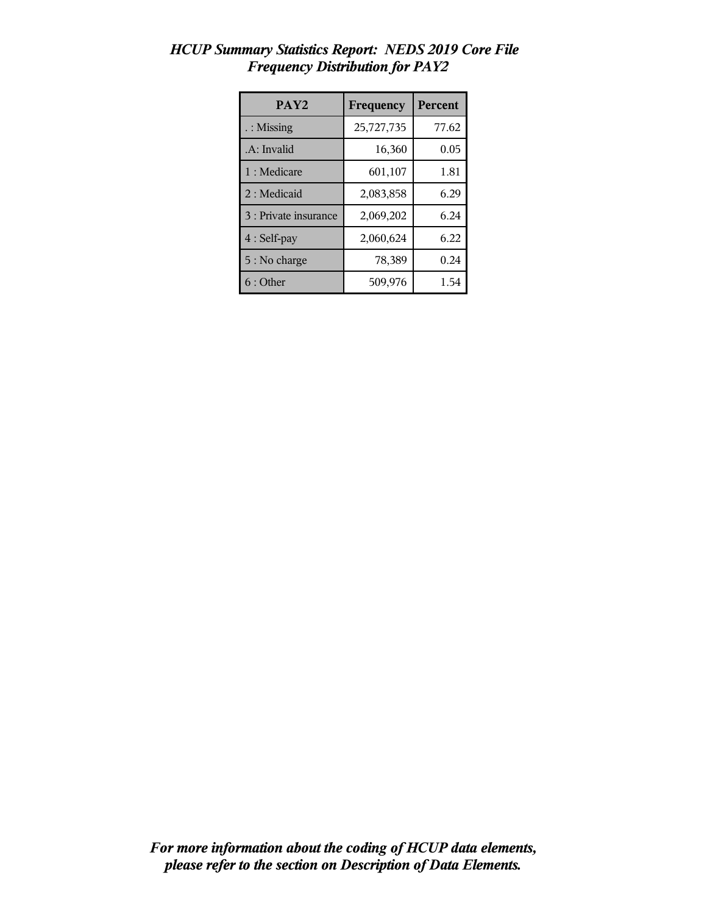| PAY <sub>2</sub>      | Frequency  | <b>Percent</b> |
|-----------------------|------------|----------------|
| $\therefore$ Missing  | 25,727,735 | 77.62          |
| .A: Invalid           | 16,360     | 0.05           |
| 1 : Medicare          | 601,107    | 1.81           |
| 2 : Medicaid          | 2,083,858  | 6.29           |
| 3 : Private insurance | 2,069,202  | 6.24           |
| 4 : Self-pay          | 2,060,624  | 6.22           |
| 5 : No charge         | 78,389     | 0.24           |
| $6:$ Other            | 509,976    | 1.54           |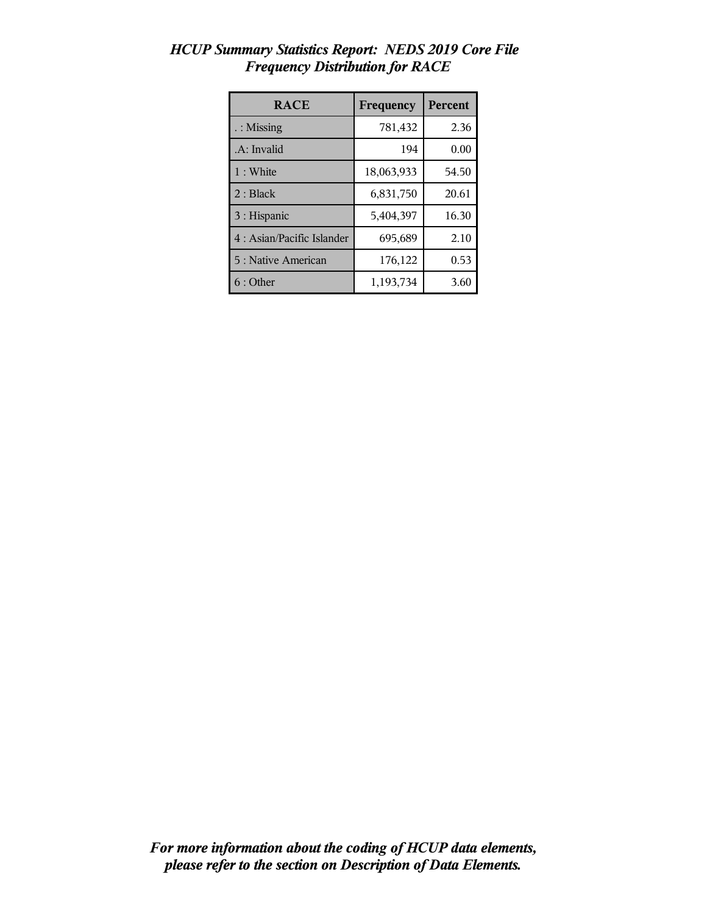| <b>RACE</b>                | Frequency  | Percent |
|----------------------------|------------|---------|
| $\therefore$ Missing       | 781,432    | 2.36    |
| .A: Invalid                | 194        | 0.00    |
| 1 : White                  | 18,063,933 | 54.50   |
| 2: Black                   | 6,831,750  | 20.61   |
| 3 : Hispanic               | 5,404,397  | 16.30   |
| 4 : Asian/Pacific Islander | 695,689    | 2.10    |
| 5 : Native American        | 176,122    | 0.53    |
| 6:Other                    | 1,193,734  | 3.60    |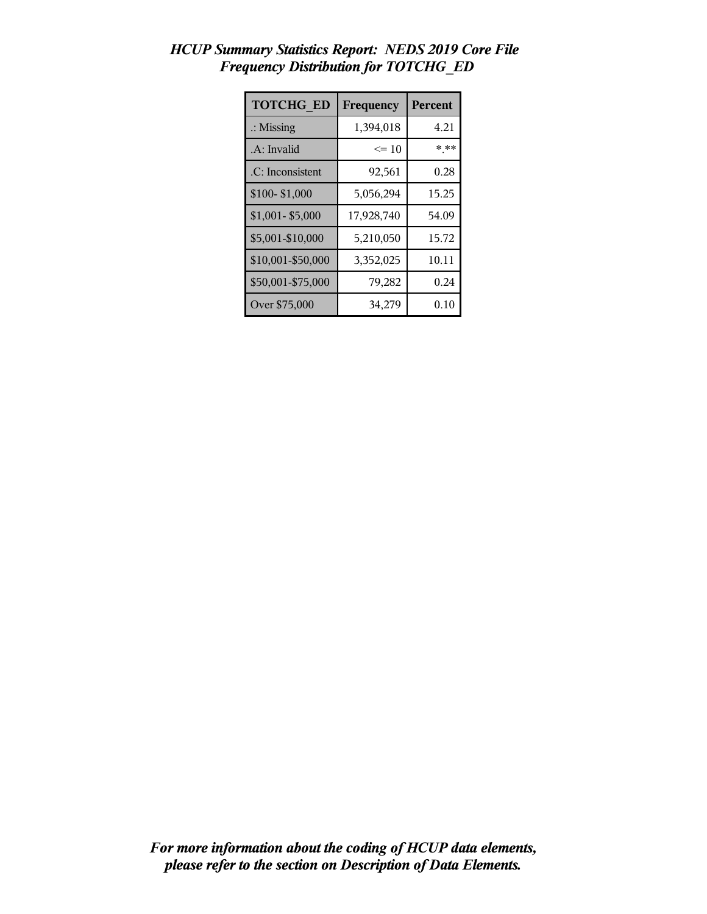| <b>TOTCHG ED</b>     | Frequency  | Percent |
|----------------------|------------|---------|
| $\therefore$ Missing | 1,394,018  | 4.21    |
| .A: Invalid          | $\leq 10$  | * **    |
| .C: Inconsistent     | 92,561     | 0.28    |
| \$100-\$1,000        | 5,056,294  | 15.25   |
| $$1,001 - $5,000$    | 17,928,740 | 54.09   |
| \$5,001-\$10,000     | 5,210,050  | 15.72   |
| \$10,001-\$50,000    | 3,352,025  | 10.11   |
| \$50,001-\$75,000    | 79,282     | 0.24    |
| Over \$75,000        | 34,279     | 0.10    |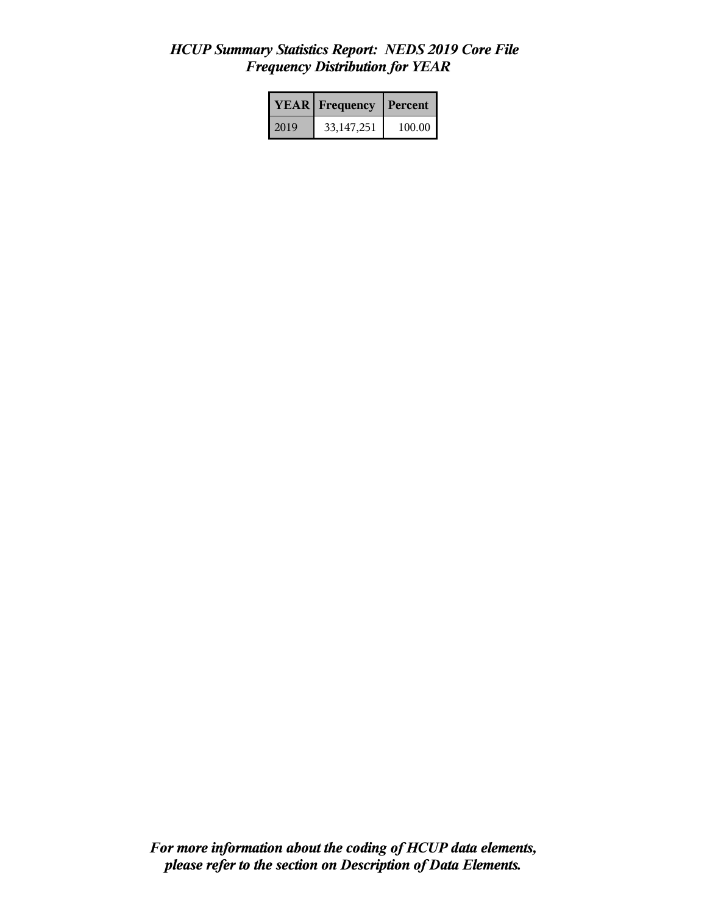|      | <b>YEAR</b> Frequency | <b>Percent</b> |  |
|------|-----------------------|----------------|--|
| 2019 | 33, 147, 251          | 100.00         |  |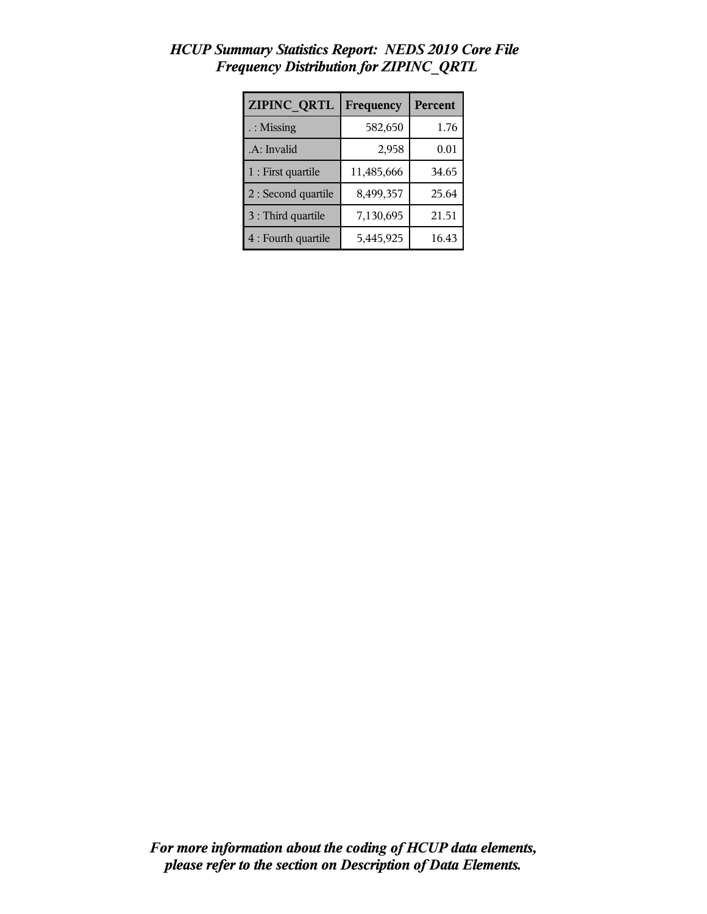| <b>ZIPINC QRTL</b>   | Frequency  | <b>Percent</b> |  |
|----------------------|------------|----------------|--|
| $\therefore$ Missing | 582,650    | 1.76           |  |
| .A: Invalid          | 2,958      | 0.01           |  |
| 1 : First quartile   | 11,485,666 | 34.65          |  |
| 2 : Second quartile  | 8,499,357  | 25.64          |  |
| 3 : Third quartile   | 7,130,695  | 21.51          |  |
| 4 : Fourth quartile  | 5,445,925  | 16.43          |  |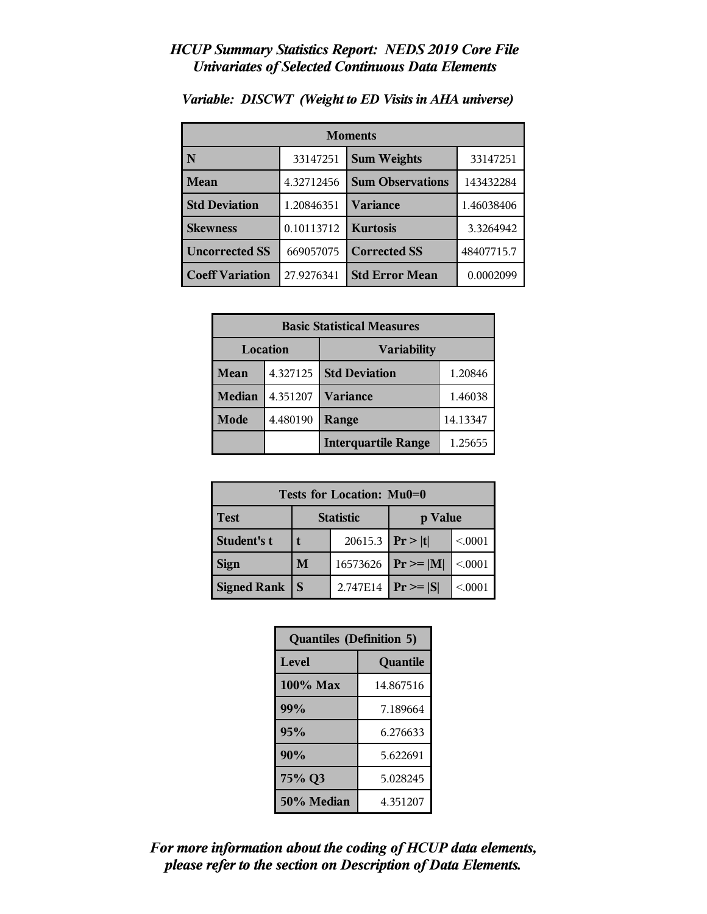|                        | <b>Moments</b> |                         |            |  |
|------------------------|----------------|-------------------------|------------|--|
| N                      | 33147251       | <b>Sum Weights</b>      | 33147251   |  |
| Mean                   | 4.32712456     | <b>Sum Observations</b> | 143432284  |  |
| <b>Std Deviation</b>   | 1.20846351     | Variance                | 1.46038406 |  |
| <b>Skewness</b>        | 0.10113712     | <b>Kurtosis</b>         | 3.3264942  |  |
| <b>Uncorrected SS</b>  | 669057075      | <b>Corrected SS</b>     | 48407715.7 |  |
| <b>Coeff Variation</b> | 27.9276341     | <b>Std Error Mean</b>   | 0.0002099  |  |

*Variable: DISCWT (Weight to ED Visits in AHA universe)*

| <b>Basic Statistical Measures</b> |          |                            |          |
|-----------------------------------|----------|----------------------------|----------|
| Location                          |          | <b>Variability</b>         |          |
| Mean                              | 4.327125 | <b>Std Deviation</b>       | 1.20846  |
| <b>Median</b>                     | 4.351207 | <b>Variance</b>            | 1.46038  |
| Mode                              | 4.480190 | Range                      | 14.13347 |
|                                   |          | <b>Interquartile Range</b> | 1.25655  |

| Tests for Location: Mu0=0 |                             |          |               |        |
|---------------------------|-----------------------------|----------|---------------|--------|
| <b>Test</b>               | <b>Statistic</b><br>p Value |          |               |        |
| <b>Student's t</b>        | 20615.3                     |          | Pr >  t       | < 0001 |
| <b>Sign</b>               | M                           | 16573626 | $Pr \geq  M $ | < 0001 |
| <b>Signed Rank</b>        | S                           | 2.747E14 | $Pr \geq  S $ | < 0001 |

| <b>Quantiles (Definition 5)</b> |           |  |
|---------------------------------|-----------|--|
| <b>Level</b>                    | Quantile  |  |
| 100% Max                        | 14.867516 |  |
| 99%                             | 7.189664  |  |
| 95%                             | 6.276633  |  |
| 90%                             | 5.622691  |  |
| 75% Q3<br>5.028245              |           |  |
| 50% Median<br>4.351207          |           |  |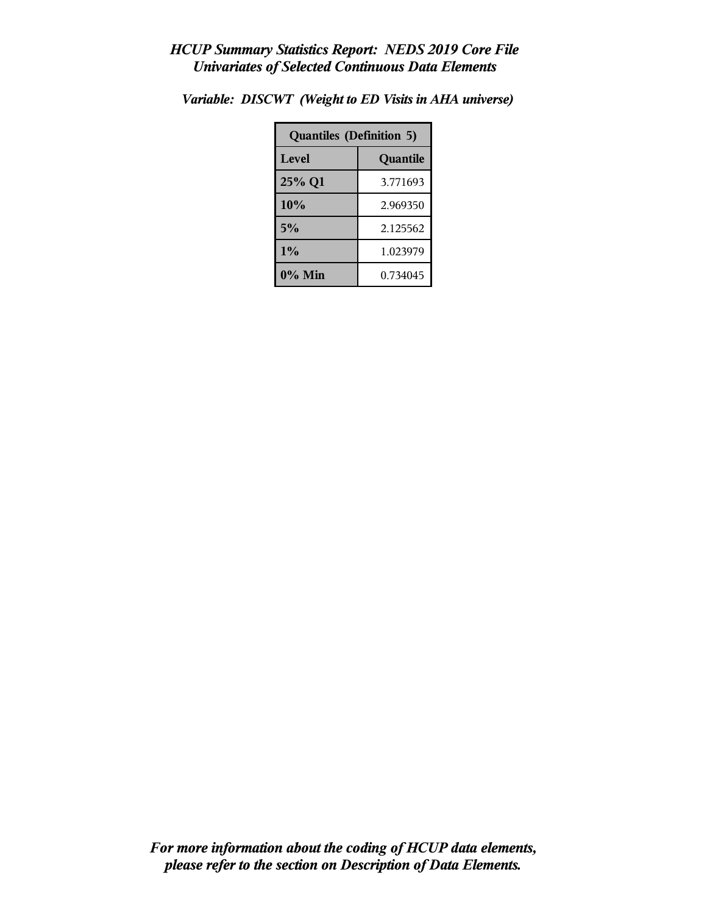| <b>Quantiles (Definition 5)</b> |          |  |
|---------------------------------|----------|--|
| Level                           | Quantile |  |
| 25% Q1                          | 3.771693 |  |
| 10%                             | 2.969350 |  |
| 5%                              | 2.125562 |  |
| 1%<br>1.023979                  |          |  |
| $0\%$ Min                       | 0.734045 |  |

*Variable: DISCWT (Weight to ED Visits in AHA universe)*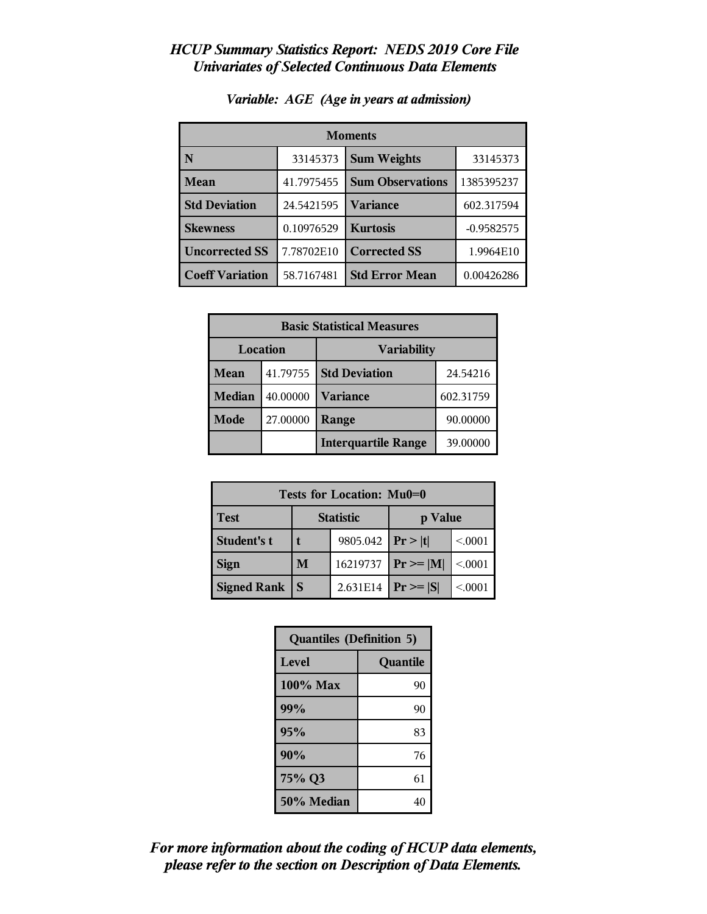| <b>Moments</b>         |            |                         |              |
|------------------------|------------|-------------------------|--------------|
| N                      | 33145373   | <b>Sum Weights</b>      | 33145373     |
| Mean                   | 41.7975455 | <b>Sum Observations</b> | 1385395237   |
| <b>Std Deviation</b>   | 24.5421595 | Variance                | 602.317594   |
| <b>Skewness</b>        | 0.10976529 | <b>Kurtosis</b>         | $-0.9582575$ |
| <b>Uncorrected SS</b>  | 7.78702E10 | <b>Corrected SS</b>     | 1.9964E10    |
| <b>Coeff Variation</b> | 58.7167481 | <b>Std Error Mean</b>   | 0.00426286   |

#### *Variable: AGE (Age in years at admission)*

| <b>Basic Statistical Measures</b> |          |                            |           |  |
|-----------------------------------|----------|----------------------------|-----------|--|
| Location                          |          | <b>Variability</b>         |           |  |
| Mean                              | 41.79755 | <b>Std Deviation</b>       | 24.54216  |  |
| <b>Median</b>                     | 40.00000 | <b>Variance</b>            | 602.31759 |  |
| <b>Mode</b>                       | 27.00000 | Range                      | 90.00000  |  |
|                                   |          | <b>Interquartile Range</b> | 39.00000  |  |

| Tests for Location: Mu0=0 |                             |          |               |        |  |
|---------------------------|-----------------------------|----------|---------------|--------|--|
| <b>Test</b>               | <b>Statistic</b><br>p Value |          |               |        |  |
| Student's t               | 9805.042                    |          | Pr >  t       | < 0001 |  |
| <b>Sign</b>               | M                           | 16219737 | $Pr \geq  M $ | < 0001 |  |
| <b>Signed Rank</b>        | S                           | 2.631E14 | $Pr \geq  S $ | < 0001 |  |

| <b>Quantiles (Definition 5)</b> |          |  |
|---------------------------------|----------|--|
| <b>Level</b>                    | Quantile |  |
| 100% Max                        | 90       |  |
| 99%                             | 90       |  |
| 95%                             | 83       |  |
| 90%                             | 76       |  |
| 75% Q3                          | 61       |  |
| 50% Median                      | 40       |  |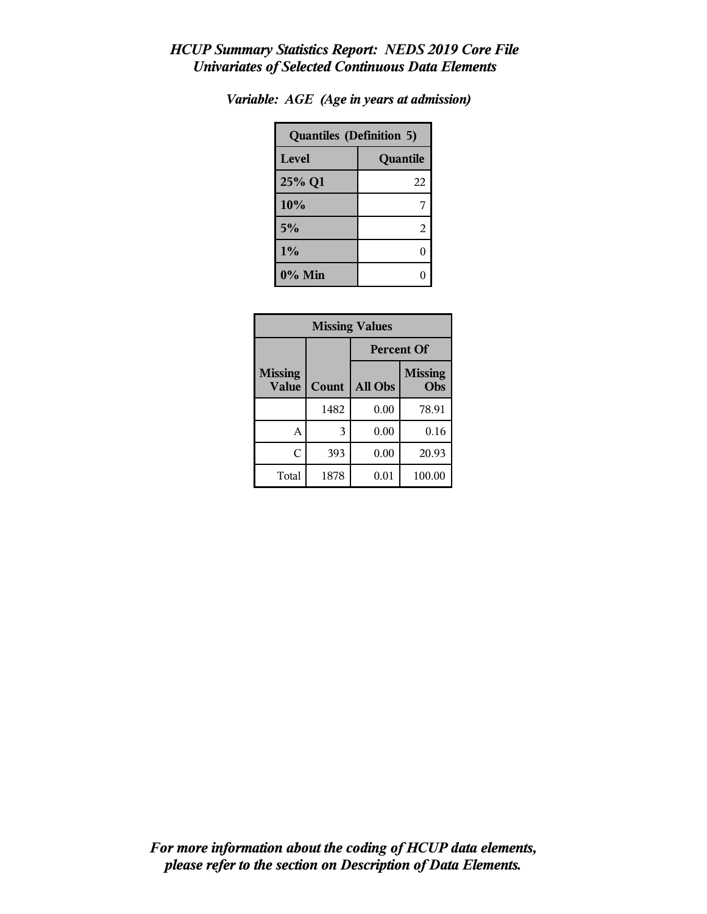| <b>Quantiles (Definition 5)</b> |          |  |  |
|---------------------------------|----------|--|--|
| Level                           | Quantile |  |  |
| 25% Q1                          | 22       |  |  |
| 10%                             |          |  |  |
| 5%                              | 2        |  |  |
| 1%                              |          |  |  |
| 0% Min                          |          |  |  |

| Variable: AGE (Age in years at admission) |  |  |  |  |  |  |
|-------------------------------------------|--|--|--|--|--|--|
|-------------------------------------------|--|--|--|--|--|--|

| <b>Missing Values</b>          |       |                   |                       |  |
|--------------------------------|-------|-------------------|-----------------------|--|
|                                |       | <b>Percent Of</b> |                       |  |
| <b>Missing</b><br><b>Value</b> | Count | All Obs           | <b>Missing</b><br>Obs |  |
|                                | 1482  | 0.00              | 78.91                 |  |
| А                              | 3     | 0.00              | 0.16                  |  |
| C                              | 393   | 0.00              | 20.93                 |  |
| Total                          | 1878  | 0.01              | 100.00                |  |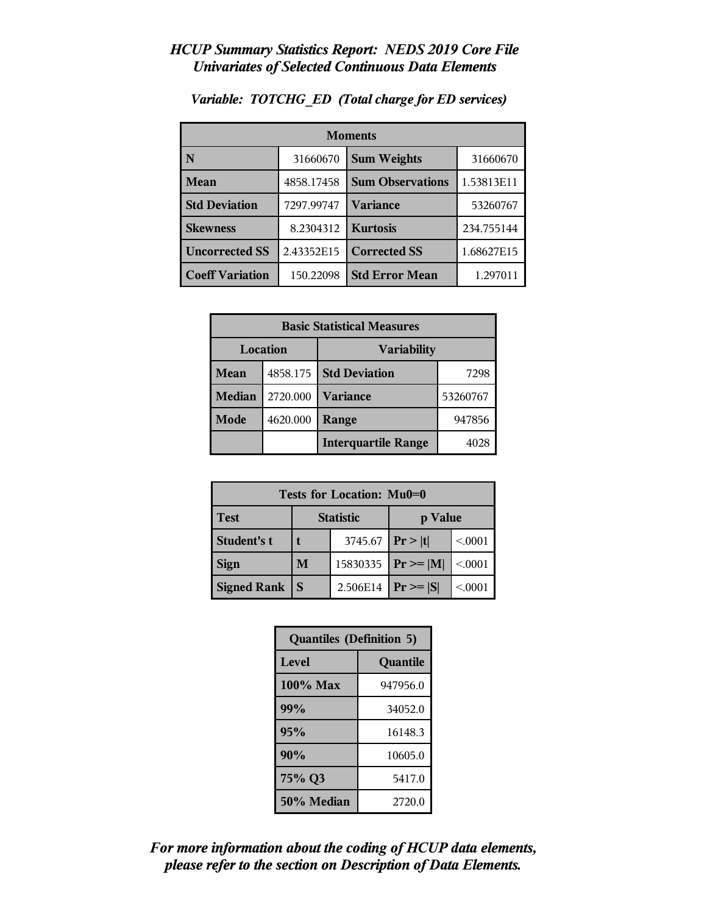| <b>Moments</b>         |            |                         |            |
|------------------------|------------|-------------------------|------------|
| N                      | 31660670   | <b>Sum Weights</b>      | 31660670   |
| Mean                   | 4858.17458 | <b>Sum Observations</b> | 1.53813E11 |
| <b>Std Deviation</b>   | 7297.99747 | Variance                | 53260767   |
| <b>Skewness</b>        | 8.2304312  | <b>Kurtosis</b>         | 234.755144 |
| <b>Uncorrected SS</b>  | 2.43352E15 | <b>Corrected SS</b>     | 1.68627E15 |
| <b>Coeff Variation</b> | 150.22098  | <b>Std Error Mean</b>   | 1.297011   |

*Variable: TOTCHG\_ED (Total charge for ED services)*

| <b>Basic Statistical Measures</b> |          |                            |          |
|-----------------------------------|----------|----------------------------|----------|
| Location<br><b>Variability</b>    |          |                            |          |
| Mean                              | 4858.175 | <b>Std Deviation</b>       | 7298     |
| <b>Median</b>                     | 2720.000 | <b>Variance</b>            | 53260767 |
| Mode                              | 4620.000 | Range                      | 947856   |
|                                   |          | <b>Interquartile Range</b> |          |

| Tests for Location: Mu0=0 |   |                  |                |        |  |
|---------------------------|---|------------------|----------------|--------|--|
| <b>Test</b>               |   | <b>Statistic</b> | p Value        |        |  |
| Student's t               |   | 3745.67          | Pr >  t        | < 0001 |  |
| <b>Sign</b>               | M | 15830335         | $Pr \ge =  M $ | < 0001 |  |
| <b>Signed Rank</b>        | S | 2.506E14         | $Pr \geq  S $  | < 0001 |  |

| <b>Quantiles (Definition 5)</b> |          |  |
|---------------------------------|----------|--|
| <b>Level</b>                    | Quantile |  |
| 100% Max                        | 947956.0 |  |
| 99%                             | 34052.0  |  |
| 95%                             | 16148.3  |  |
| 90%                             | 10605.0  |  |
| 75% Q3                          | 5417.0   |  |
| 50% Median                      | 2720.0   |  |